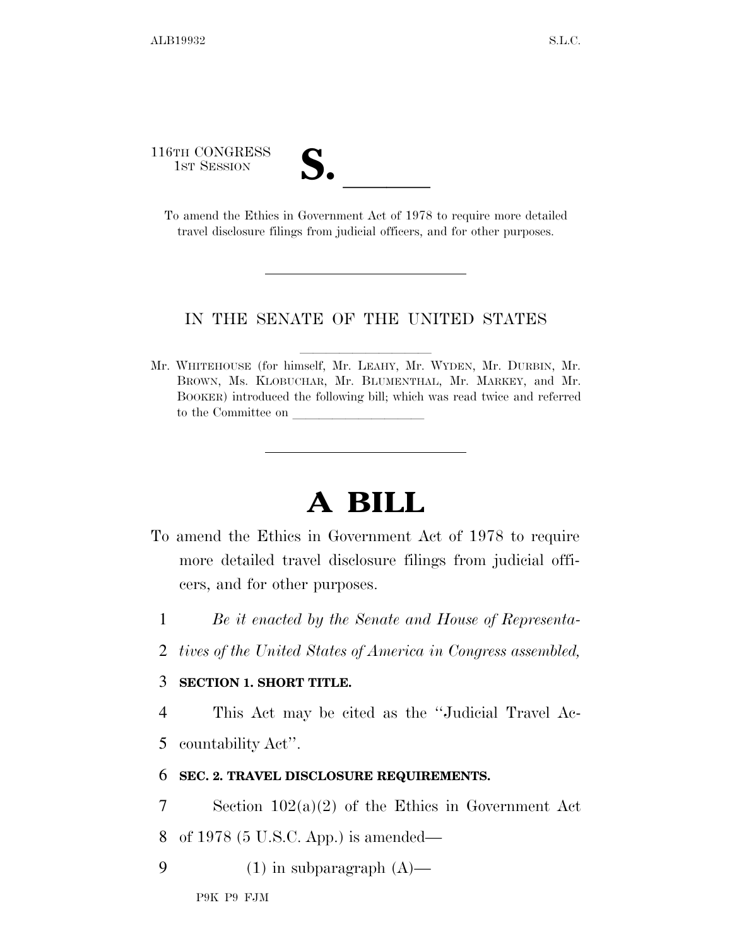116TH CONGRESS

THE SESSION **SESSION SESSION SESSION**<br>To amend the Ethics in Government Act of 1978 to require more detailed travel disclosure filings from judicial officers, and for other purposes.

## IN THE SENATE OF THE UNITED STATES

Mr. WHITEHOUSE (for himself, Mr. LEAHY, Mr. WYDEN, Mr. DURBIN, Mr. BROWN, Ms. KLOBUCHAR, Mr. BLUMENTHAL, Mr. MARKEY, and Mr. BOOKER) introduced the following bill; which was read twice and referred to the Committee on

## **A BILL**

- To amend the Ethics in Government Act of 1978 to require more detailed travel disclosure filings from judicial officers, and for other purposes.
	- 1 *Be it enacted by the Senate and House of Representa-*
	- 2 *tives of the United States of America in Congress assembled,*

## 3 **SECTION 1. SHORT TITLE.**

4 This Act may be cited as the ''Judicial Travel Ac-5 countability Act''.

## 6 **SEC. 2. TRAVEL DISCLOSURE REQUIREMENTS.**

7 Section 102(a)(2) of the Ethics in Government Act 8 of 1978 (5 U.S.C. App.) is amended—

9  $(1)$  in subparagraph  $(A)$ —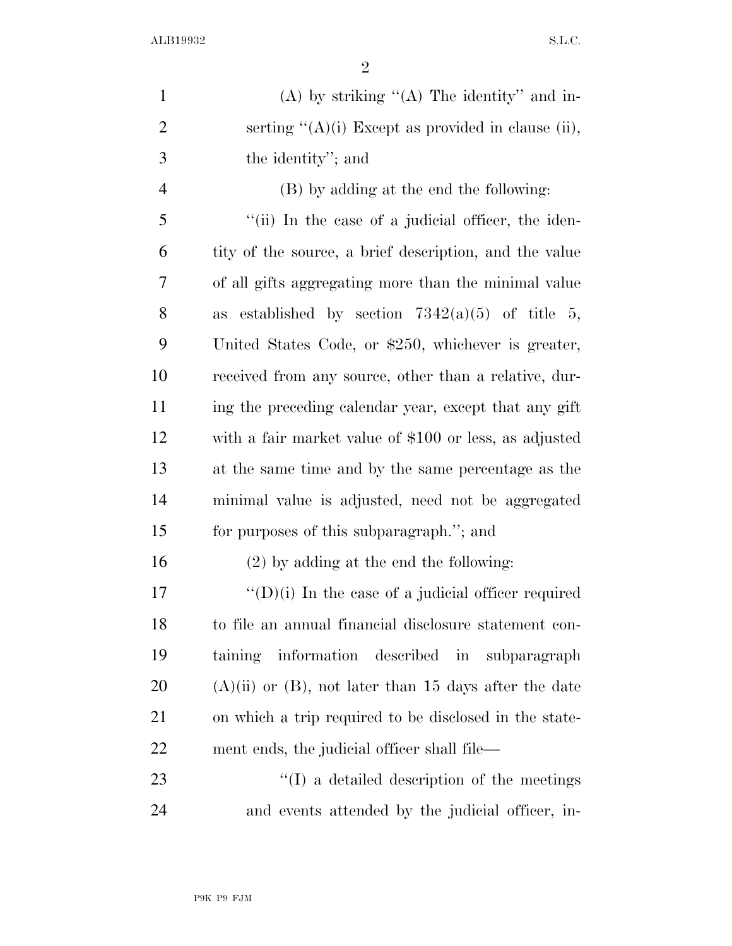ALB19932 S.L.C.

| $\mathbf{1}$   | (A) by striking $\lq (A)$ The identity" and in-            |
|----------------|------------------------------------------------------------|
| $\overline{2}$ | serting $\lq (A)(i)$ Except as provided in clause (ii),    |
| $\mathfrak{Z}$ | the identity"; and                                         |
| $\overline{4}$ | (B) by adding at the end the following:                    |
| 5              | "(ii) In the case of a judicial officer, the iden-         |
| 6              | tity of the source, a brief description, and the value     |
| 7              | of all gifts aggregating more than the minimal value       |
| 8              | established by section $7342(a)(5)$ of title 5,<br>as      |
| 9              | United States Code, or \$250, whichever is greater,        |
| 10             | received from any source, other than a relative, dur-      |
| 11             | ing the preceding calendar year, except that any gift      |
| 12             | with a fair market value of \$100 or less, as adjusted     |
| 13             | at the same time and by the same percentage as the         |
| 14             | minimal value is adjusted, need not be aggregated          |
| 15             | for purposes of this subparagraph."; and                   |
| 16             | $(2)$ by adding at the end the following:                  |
| 17             | $\lq\lq$ (D)(i) In the case of a judicial officer required |
| 18             | to file an annual financial disclosure statement con-      |
| 19             | taining information described in subparagraph              |
| 20             | $(A)(ii)$ or $(B)$ , not later than 15 days after the date |
| 21             | on which a trip required to be disclosed in the state-     |
| <u>22</u>      | ment ends, the judicial officer shall file—                |
| 23             | $\lq\lq$ a detailed description of the meetings            |
| 24             | and events attended by the judicial officer, in-           |